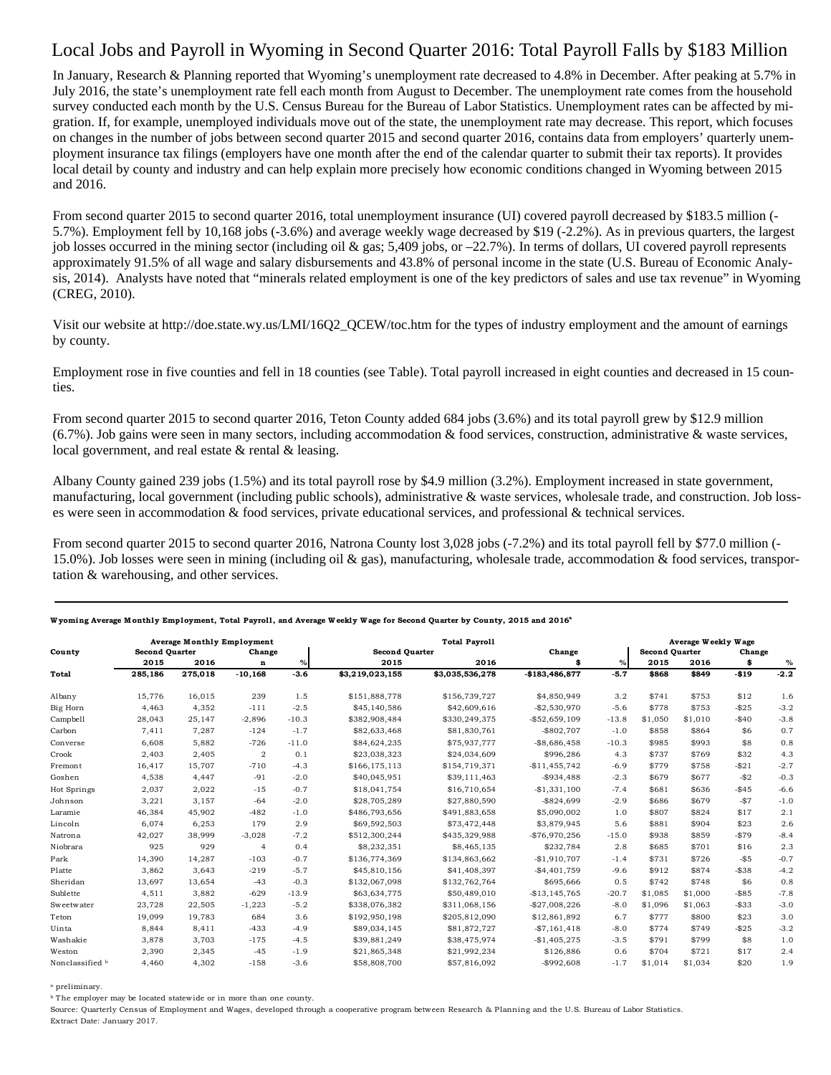## Local Jobs and Payroll in Wyoming in Second Quarter 2016: Total Payroll Falls by \$183 Million

In January, Research & Planning reported that Wyoming's unemployment rate decreased to 4.8% in December. After peaking at 5.7% in July 2016, the state's unemployment rate fell each month from August to December. The unemployment rate comes from the household survey conducted each month by the U.S. Census Bureau for the Bureau of Labor Statistics. Unemployment rates can be affected by migration. If, for example, unemployed individuals move out of the state, the unemployment rate may decrease. This report, which focuses on changes in the number of jobs between second quarter 2015 and second quarter 2016, contains data from employers' quarterly unemployment insurance tax filings (employers have one month after the end of the calendar quarter to submit their tax reports). It provides local detail by county and industry and can help explain more precisely how economic conditions changed in Wyoming between 2015 and 2016.

From second quarter 2015 to second quarter 2016, total unemployment insurance (UI) covered payroll decreased by \$183.5 million (- 5.7%). Employment fell by 10,168 jobs (-3.6%) and average weekly wage decreased by \$19 (-2.2%). As in previous quarters, the largest job losses occurred in the mining sector (including oil & gas; 5,409 jobs, or  $-22.7\%$ ). In terms of dollars, UI covered payroll represents approximately 91.5% of all wage and salary disbursements and 43.8% of personal income in the state (U.S. Bureau of Economic Analysis, 2014). Analysts have noted that "minerals related employment is one of the key predictors of sales and use tax revenue" in Wyoming (CREG, 2010).

Visit our website at http://doe.state.wy.us/LMI/16Q2\_QCEW/toc.htm for the types of industry employment and the amount of earnings by county.

Employment rose in five counties and fell in 18 counties (see Table). Total payroll increased in eight counties and decreased in 15 counties.

From second quarter 2015 to second quarter 2016, Teton County added 684 jobs (3.6%) and its total payroll grew by \$12.9 million (6.7%). Job gains were seen in many sectors, including accommodation & food services, construction, administrative & waste services, local government, and real estate & rental & leasing.

Albany County gained 239 jobs (1.5%) and its total payroll rose by \$4.9 million (3.2%). Employment increased in state government, manufacturing, local government (including public schools), administrative & waste services, wholesale trade, and construction. Job losses were seen in accommodation & food services, private educational services, and professional & technical services.

From second quarter 2015 to second quarter 2016, Natrona County lost 3,028 jobs (-7.2%) and its total payroll fell by \$77.0 million (-15.0%). Job losses were seen in mining (including oil & gas), manufacturing, wholesale trade, accommodation & food services, transportation & warehousing, and other services.

|                 | <b>Average Monthly Employment</b> |         |                |         | <b>Total Payroll</b>  |                 |                 |         | Average Weekly Wage   |         |          |        |  |
|-----------------|-----------------------------------|---------|----------------|---------|-----------------------|-----------------|-----------------|---------|-----------------------|---------|----------|--------|--|
| County          | <b>Second Quarter</b>             |         | Change         |         | <b>Second Ouarter</b> |                 | Change          |         | <b>Second Quarter</b> |         | Change   |        |  |
|                 | 2015                              | 2016    | n              | $\%$    | 2015                  | 2016            |                 | $\%$    | 2015                  | 2016    | \$       | $\%$   |  |
| Total           | 285,186                           | 275,018 | $-10,168$      | $-3.6$  | \$3,219,023,155       | \$3,035,536,278 | $-$183,486,877$ | $-5.7$  | \$868                 | \$849   | $-$19$   | $-2.2$ |  |
| Albany          | 15,776                            | 16,015  | 239            | 1.5     | \$151,888,778         | \$156,739,727   | \$4,850,949     | 3.2     | \$741                 | \$753   | \$12     | 1.6    |  |
| Big Horn        | 4,463                             | 4,352   | $-111$         | $-2.5$  | \$45,140,586          | \$42,609,616    | $-$2,530,970$   | $-5.6$  | \$778                 | \$753   | $-$25$   | $-3.2$ |  |
| Campbell        | 28,043                            | 25,147  | $-2,896$       | $-10.3$ | \$382,908,484         | \$330,249,375   | $-$52,659,109$  | $-13.8$ | \$1,050               | \$1,010 | $-$40$   | $-3.8$ |  |
| Carbon          | 7,411                             | 7,287   | $-124$         | $-1.7$  | \$82,633,468          | \$81,830,761    | $-$ \$802,707   | $-1.0$  | \$858                 | \$864   | \$6      | 0.7    |  |
| Converse        | 6,608                             | 5,882   | $-726$         | $-11.0$ | \$84,624,235          | \$75,937,777    | $-$8,686,458$   | $-10.3$ | \$985                 | \$993   | \$8      | 0.8    |  |
| Crook           | 2,403                             | 2,405   | $\overline{2}$ | 0.1     | \$23,038,323          | \$24,034,609    | \$996,286       | 4.3     | \$737                 | \$769   | \$32     | 4.3    |  |
| Fremont         | 16,417                            | 15,707  | $-710$         | $-4.3$  | \$166,175,113         | \$154,719,371   | $-$11,455,742$  | $-6.9$  | \$779                 | \$758   | $-$21$   | $-2.7$ |  |
| Goshen          | 4,538                             | 4,447   | $-91$          | $-2.0$  | \$40,045,951          | \$39,111,463    | $-$934,488$     | $-2.3$  | \$679                 | \$677   | $-52$    | $-0.3$ |  |
| Hot Springs     | 2,037                             | 2,022   | $-15$          | $-0.7$  | \$18,041,754          | \$16,710,654    | $-$1,331,100$   | $-7.4$  | \$681                 | \$636   | $-$45$   | $-6.6$ |  |
| Johnson         | 3,221                             | 3,157   | $-64$          | $-2.0$  | \$28,705,289          | \$27,880,590    | $-$ \$824,699   | $-2.9$  | \$686                 | \$679   | $-$ \$7  | $-1.0$ |  |
| Laramie         | 46,384                            | 45,902  | $-482$         | $-1.0$  | \$486,793,656         | \$491,883,658   | \$5,090,002     | 1.0     | \$807                 | \$824   | \$17     | 2.1    |  |
| Lincoln         | 6,074                             | 6,253   | 179            | 2.9     | \$69,592,503          | \$73,472,448    | \$3,879,945     | 5.6     | \$881                 | \$904   | \$23     | 2.6    |  |
| Natrona         | 42.027                            | 38.999  | $-3,028$       | $-7.2$  | \$512,300,244         | \$435,329,988   | $-$76,970,256$  | $-15.0$ | \$938                 | \$859   | $-$79$   | $-8.4$ |  |
| Niobrara        | 925                               | 929     | $\overline{4}$ | 0.4     | \$8,232,351           | \$8,465,135     | \$232,784       | 2.8     | \$685                 | \$701   | \$16     | 2.3    |  |
| Park            | 14,390                            | 14,287  | $-103$         | $-0.7$  | \$136,774,369         | \$134,863,662   | $-$1.910.707$   | $-1.4$  | \$731                 | \$726   | $-$ \$5  | $-0.7$ |  |
| Platte          | 3,862                             | 3,643   | $-219$         | $-5.7$  | \$45,810,156          | \$41,408,397    | $-$4,401,759$   | $-9.6$  | \$912                 | \$874   | $- $38$  | $-4.2$ |  |
| Sheridan        | 13,697                            | 13.654  | $-43$          | $-0.3$  | \$132,067,098         | \$132,762,764   | \$695,666       | 0.5     | \$742                 | \$748   | \$6      | 0.8    |  |
| Sublette        | 4,511                             | 3,882   | $-629$         | $-13.9$ | \$63,634,775          | \$50,489,010    | $-$13,145,765$  | $-20.7$ | \$1,085               | \$1,000 | $-$ \$85 | $-7.8$ |  |
| Sweetwater      | 23.728                            | 22,505  | $-1,223$       | $-5.2$  | \$338,076,382         | \$311,068,156   | $-$27,008,226$  | $-8.0$  | \$1,096               | \$1,063 | $-$ \$33 | $-3.0$ |  |
| Teton           | 19,099                            | 19,783  | 684            | 3.6     | \$192,950,198         | \$205,812,090   | \$12,861,892    | 6.7     | \$777                 | \$800   | \$23     | 3.0    |  |
| Uinta           | 8,844                             | 8,411   | $-433$         | $-4.9$  | \$89,034,145          | \$81,872,727    | $- $7,161,418$  | $-8.0$  | \$774                 | \$749   | $-$25$   | $-3.2$ |  |
| Washakie        | 3,878                             | 3,703   | $-175$         | $-4.5$  | \$39,881,249          | \$38,475,974    | $-$1,405,275$   | $-3.5$  | \$791                 | \$799   | \$8      | 1.0    |  |
| Weston          | 2,390                             | 2,345   | $-45$          | $-1.9$  | \$21,865,348          | \$21,992,234    | \$126,886       | 0.6     | \$704                 | \$721   | \$17     | 2.4    |  |
| Nonclassified b | 4,460                             | 4,302   | $-158$         | $-3.6$  | \$58,808,700          | \$57,816,092    | $-$ \$992,608   | $-1.7$  | \$1,014               | \$1,034 | \$20     | 1.9    |  |

## Wyoming Average Monthly Employment, Total Payroll, and Average Weekly Wage for Second Quarter by County, 2015 and 2016<sup>4</sup>

a preliminary.

<sup>b</sup> The employer may be located statewide or in more than one county.

Source: Quarterly Census of Employment and Wages, developed through a cooperative program between Research & Planning and the U.S. Bureau of Labor Statistics. Extract Date: January 2017.